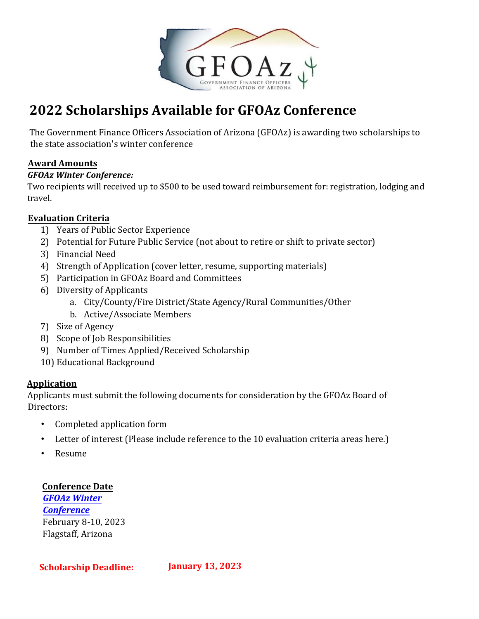

# **2022 Scholarships Available for GFOAz Conference**

The Government Finance Officers Association of Arizona (GFOAz) is awarding two scholarships to the state association's winter conference

## **Award Amounts**

#### *GFOAz Winter Conference:*

Two recipients will received up to \$500 to be used toward reimbursement for: registration, lodging and travel.

### **Evaluation Criteria**

- 1) Years of Public Sector Experience
- 2) Potential for Future Public Service (not about to retire or shift to private sector)
- 3) Financial Need
- 4) Strength of Application (cover letter, resume, supporting materials)
- 5) Participation in GFOAz Board and Committees
- 6) Diversity of Applicants
	- a. City/County/Fire District/State Agency/Rural Communities/Other
	- b. Active/Associate Members
- 7) Size of Agency
- 8) Scope of Job Responsibilities
- 9) Number of Times Applied/Received Scholarship
- 10) Educational Background

### **Application**

Applicants must submit the following documents for consideration by the GFOAz Board of Directors:

- Completed application form
- Letter of interest (Please include reference to the 10 evaluation criteria areas here.)
- Resume

**Conference Date** 

*GFOAz Winter [Conference](https://gfoaz.org/conferences-training/)*  [February 8-10,](https://gfoaz.org/conferences-training/) [2](https://gfoaz.org/conferences-training/)023 Flagstaff, Arizona

**Scholarship Deadline: January 13, 2023**